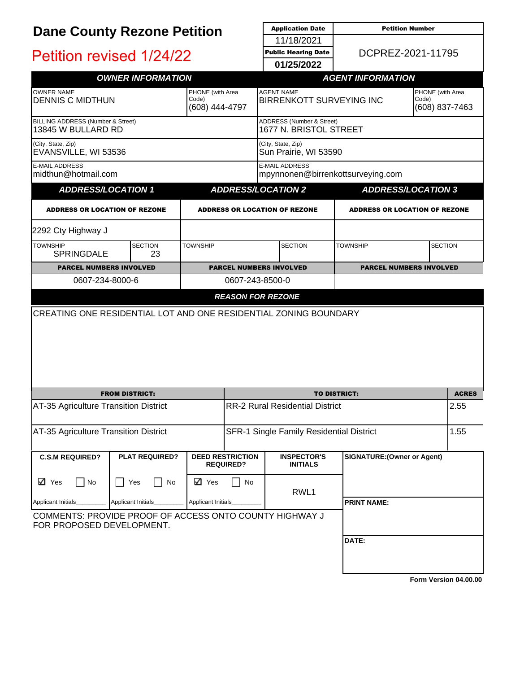| <b>Dane County Rezone Petition</b>                                                   |                                       |                                             | <b>Application Date</b>                     | <b>Petition Number</b>                                     |                                    |                                             |
|--------------------------------------------------------------------------------------|---------------------------------------|---------------------------------------------|---------------------------------------------|------------------------------------------------------------|------------------------------------|---------------------------------------------|
|                                                                                      |                                       |                                             | 11/18/2021                                  |                                                            |                                    |                                             |
| Petition revised 1/24/22                                                             |                                       |                                             |                                             | <b>Public Hearing Date</b><br>01/25/2022                   |                                    | DCPREZ-2021-11795                           |
|                                                                                      | <b>OWNER INFORMATION</b>              |                                             |                                             |                                                            | <b>AGENT INFORMATION</b>           |                                             |
|                                                                                      |                                       |                                             |                                             |                                                            |                                    |                                             |
| <b>OWNER NAME</b><br><b>DENNIS C MIDTHUN</b>                                         |                                       | PHONE (with Area<br>Code)<br>(608) 444-4797 |                                             | <b>AGENT NAME</b><br><b>BIRRENKOTT SURVEYING INC</b>       |                                    | PHONE (with Area<br>Code)<br>(608) 837-7463 |
| BILLING ADDRESS (Number & Street)<br>13845 W BULLARD RD                              |                                       |                                             |                                             | ADDRESS (Number & Street)<br>1677 N. BRISTOL STREET        |                                    |                                             |
| (City, State, Zip)<br>EVANSVILLE, WI 53536                                           |                                       |                                             |                                             | (City, State, Zip)<br>Sun Prairie, WI 53590                |                                    |                                             |
| <b>E-MAIL ADDRESS</b><br>midthun@hotmail.com                                         |                                       |                                             |                                             | <b>E-MAIL ADDRESS</b><br>mpynnonen@birrenkottsurveying.com |                                    |                                             |
| <b>ADDRESS/LOCATION 1</b>                                                            |                                       |                                             |                                             | <b>ADDRESS/LOCATION 2</b>                                  |                                    | <b>ADDRESS/LOCATION 3</b>                   |
| <b>ADDRESS OR LOCATION OF REZONE</b>                                                 |                                       |                                             |                                             | <b>ADDRESS OR LOCATION OF REZONE</b>                       |                                    | <b>ADDRESS OR LOCATION OF REZONE</b>        |
| 2292 Cty Highway J                                                                   |                                       |                                             |                                             |                                                            |                                    |                                             |
| <b>TOWNSHIP</b><br><b>SPRINGDALE</b>                                                 | <b>SECTION</b><br>23                  | <b>TOWNSHIP</b>                             |                                             | <b>SECTION</b>                                             | <b>TOWNSHIP</b>                    | <b>SECTION</b>                              |
| <b>PARCEL NUMBERS INVOLVED</b>                                                       |                                       |                                             |                                             | <b>PARCEL NUMBERS INVOLVED</b>                             |                                    | <b>PARCEL NUMBERS INVOLVED</b>              |
| 0607-234-8000-6                                                                      |                                       |                                             | 0607-243-8500-0                             |                                                            |                                    |                                             |
|                                                                                      |                                       |                                             | <b>REASON FOR REZONE</b>                    |                                                            |                                    |                                             |
| CREATING ONE RESIDENTIAL LOT AND ONE RESIDENTIAL ZONING BOUNDARY                     |                                       |                                             |                                             |                                                            |                                    |                                             |
|                                                                                      |                                       |                                             |                                             |                                                            |                                    |                                             |
|                                                                                      |                                       |                                             |                                             |                                                            |                                    |                                             |
|                                                                                      |                                       |                                             |                                             |                                                            |                                    |                                             |
|                                                                                      |                                       |                                             |                                             |                                                            |                                    |                                             |
|                                                                                      |                                       |                                             |                                             |                                                            |                                    |                                             |
|                                                                                      | <b>FROM DISTRICT:</b>                 |                                             |                                             | <b>TO DISTRICT:</b>                                        |                                    | <b>ACRES</b>                                |
| AT-35 Agriculture Transition District                                                |                                       |                                             | <b>RR-2 Rural Residential District</b>      |                                                            | 2.55                               |                                             |
| AT-35 Agriculture Transition District                                                |                                       |                                             |                                             | SFR-1 Single Family Residential District                   |                                    | 1.55                                        |
|                                                                                      |                                       |                                             |                                             |                                                            |                                    |                                             |
| <b>C.S.M REQUIRED?</b>                                                               | <b>PLAT REQUIRED?</b>                 |                                             | <b>DEED RESTRICTION</b><br><b>REQUIRED?</b> | <b>INSPECTOR'S</b><br><b>INITIALS</b>                      | <b>SIGNATURE: (Owner or Agent)</b> |                                             |
| ⊠ Yes<br>$\bigsqcup$ No                                                              | Yes<br>No<br>$\overline{\phantom{a}}$ | ⊠ Yes                                       | No                                          | RWL1                                                       |                                    |                                             |
| Applicant Initials                                                                   | <b>Applicant Initials</b>             | Applicant Initials                          |                                             |                                                            | <b>PRINT NAME:</b>                 |                                             |
| COMMENTS: PROVIDE PROOF OF ACCESS ONTO COUNTY HIGHWAY J<br>FOR PROPOSED DEVELOPMENT. |                                       |                                             |                                             |                                                            |                                    |                                             |
|                                                                                      |                                       |                                             |                                             |                                                            | DATE:                              |                                             |
|                                                                                      |                                       |                                             |                                             |                                                            |                                    |                                             |
|                                                                                      |                                       |                                             |                                             |                                                            |                                    |                                             |

**[Form Version 04.00.00](http://sql2008-reports/Reports/Pages/Resource.aspx?ItemPath=%2fDocumentation%2fReport+Index.docx)**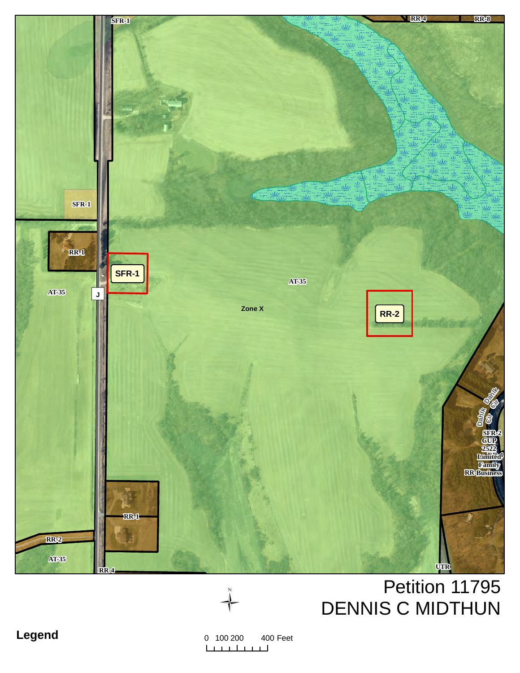

# Petition 11795 **DENNIS C MIDTHUN**



 $0$  100 200 400 Feet <u>Lindhind</u>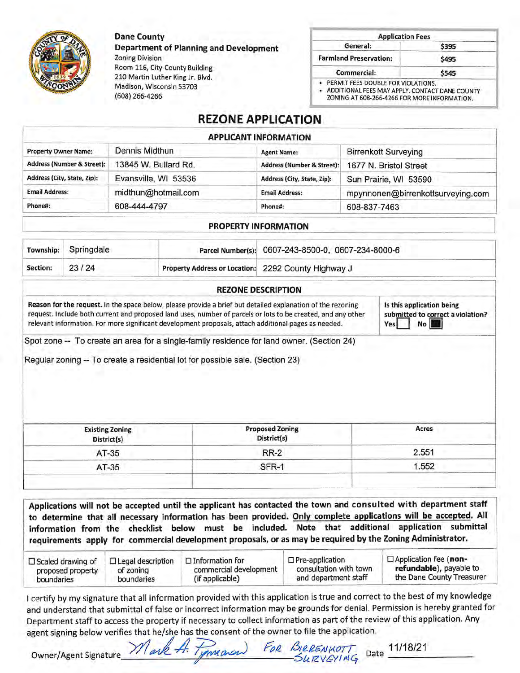**Dane County** 

(608) 266-4266

Madison, Wisconsin 53703

**Department of Planning and Development Zoning Division** Room 116, City-County Building 210 Martin Luther King Jr. Blvd.

| <b>Application Fees</b>       |       |
|-------------------------------|-------|
| General:                      | \$395 |
| <b>Farmland Preservation:</b> | \$495 |
| Commercial:                   | \$545 |

• ADDITIONAL FEES MAY APPLY, CONTACT DANE COUNTY

ZONING AT 608-266-4266 FOR MORE INFORMATION.

## **REZONE APPLICATION**

| <b>APPLICANT INFORMATION</b> |
|------------------------------|
|                              |

| <b>Property Owner Name:</b> | Dennis Midthun       | <b>Agent Name:</b>                    | <b>Birrenkott Surveying</b>       |
|-----------------------------|----------------------|---------------------------------------|-----------------------------------|
| Address (Number & Street):  | 13845 W. Bullard Rd. | <b>Address (Number &amp; Street):</b> | 1677 N. Bristol Street            |
| Address (City, State, Zip): | Evansville, WI 53536 | Address (City, State, Zip):           | Sun Prairie, WI 53590             |
| <b>Email Address:</b>       | midthun@hotmail.com  | <b>Email Address:</b>                 | mpynnonen@birrenkottsurveying.com |
| Phone#:                     | 608-444-4797         | Phone#:                               | 608-837-7463                      |

#### PROPERTY INFORMATION

|          | Township: Springdale |                                                     | Parcel Number(s): 0607-243-8500-0, 0607-234-8000-6 |  |
|----------|----------------------|-----------------------------------------------------|----------------------------------------------------|--|
| Section: | 23/24                | Property Address or Location: 2292 County Highway J |                                                    |  |

| Reason for the request. In the space below, please provide a brief but detailed explanation of the rezoning<br>request. Include both current and proposed land uses, number of parcels or lots to be created, and any other<br>relevant information. For more significant development proposals, attach additional pages as needed. | Is this application being<br>submitted to correct a violation?<br>Yes No |
|-------------------------------------------------------------------------------------------------------------------------------------------------------------------------------------------------------------------------------------------------------------------------------------------------------------------------------------|--------------------------------------------------------------------------|
|                                                                                                                                                                                                                                                                                                                                     |                                                                          |

Spot zone -- To create an area for a single-family residence for land owner. (Section 24)

Regular zoning -- To create a residential lot for possible sale. (Section 23)

| <b>Existing Zoning</b><br>District(s) | <b>Proposed Zoning</b><br>District(s) | Acres |
|---------------------------------------|---------------------------------------|-------|
| AT-35                                 | <b>RR-2</b>                           | 2.551 |
| AT-35                                 | SFR-1                                 | .552  |
|                                       |                                       |       |

Applications will not be accepted until the applicant has contacted the town and consulted with department staff to determine that all necessary information has been provided. Only complete applications will be accepted. All information from the checklist below must be included. Note that additional application submittal requirements apply for commercial development proposals, or as may be required by the Zoning Administrator.

| $\Box$ Scaled drawing of | $\Box$ Legal description | $\Box$ Information for | $\Box$ Pre-application | $\Box$ Application fee (non- |
|--------------------------|--------------------------|------------------------|------------------------|------------------------------|
| proposed property        | of zoning                | commercial development | consultation with town | refundable), payable to      |
| boundaries               | boundaries               | (if applicable)        | and department staff   | the Dane County Treasurer    |

I certify by my signature that all information provided with this application is true and correct to the best of my knowledge and understand that submittal of false or incorrect information may be grounds for denial. Permission is hereby granted for Department staff to access the property if necessary to collect information as part of the review of this application. Any agent signing below verifies that he/she has the consent of the owner to file the application.

**Owner/Agent Signature** 

FOR BIRRENKOTT Date 11/18/21 ark to maran



**REZONE DESCRIPTION**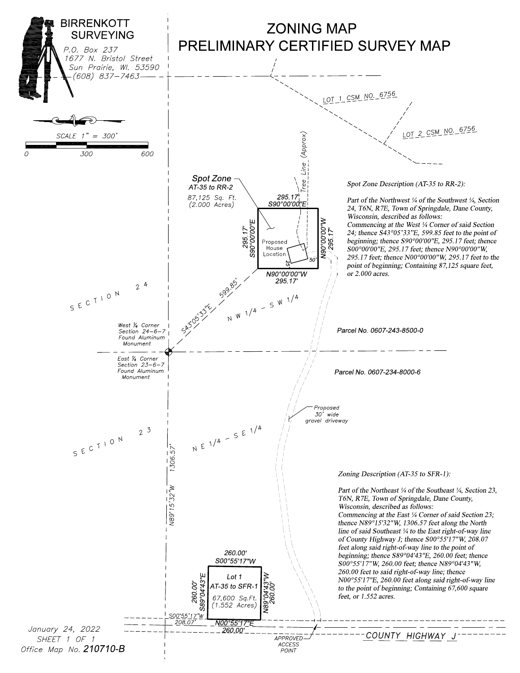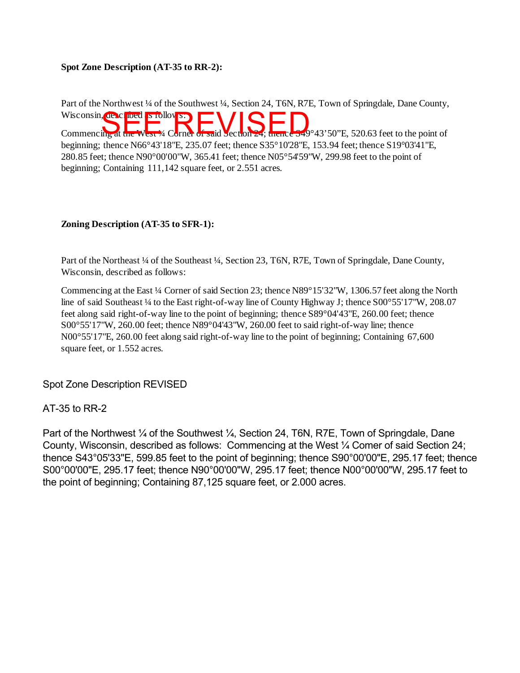#### **Spot Zone Description (AT-35 to RR-2):**

Part of the Northwest ¼ of the Southwest ¼, Section 24, T6N, R7E, Town of Springdale, Dane County, Wisconsin, described as follows: Commencing at the West <sup>1</sup>/4 Corner of said Section 24; thence S49°43'50"E, 520.63 feet to the point of beginning; thence N66°43'18"E, 235.07 feet; thence S35°10'28"E, 153.94 feet; thence S19°03'41"E, 280.85 feet; thence N90°00'00"W, 365.41 feet; thence N05°54'59"W, 299.98 feet to the point of beginning; Containing 111,142 square feet, or 2.551 acres.

#### **Zoning Description (AT-35 to SFR-1):**

Part of the Northeast ¼ of the Southeast ¼, Section 23, T6N, R7E, Town of Springdale, Dane County, Wisconsin, described as follows:

Commencing at the East ¼ Corner of said Section 23; thence N89°15'32"W, 1306.57 feet along the North line of said Southeast ¼ to the East right-of-way line of County Highway J; thence  $S00^{\circ}55'17''W$ , 208.07 feet along said right-of-way line to the point of beginning; thence S89°04'43"E, 260.00 feet; thence S00°55'17"W, 260.00 feet; thence N89°04'43"W, 260.00 feet to said right-of-way line; thence N00°55'17"E, 260.00 feet along said right-of-way line to the point of beginning; Containing 67,600 square feet, or 1.552 acres.

Spot Zone Description REVISED

### AT-35 to RR-2

Part of the Northwest 1/4 of the Southwest 1/4, Section 24, T6N, R7E, Town of Springdale, Dane County, Wisconsin, described as follows: Commencing at the West ¼ Comer of said Section 24; thence S43°05'33''E, 599.85 feet to the point of beginning; thence S90°00'00"E, 295.17 feet; thence S00°00'00"E, 295.17 feet; thence N90°00'00"W, 295.17 feet; thence N00°00'00"W, 295.17 feet to the point of beginning; Containing 87,125 square feet, or 2.000 acres.